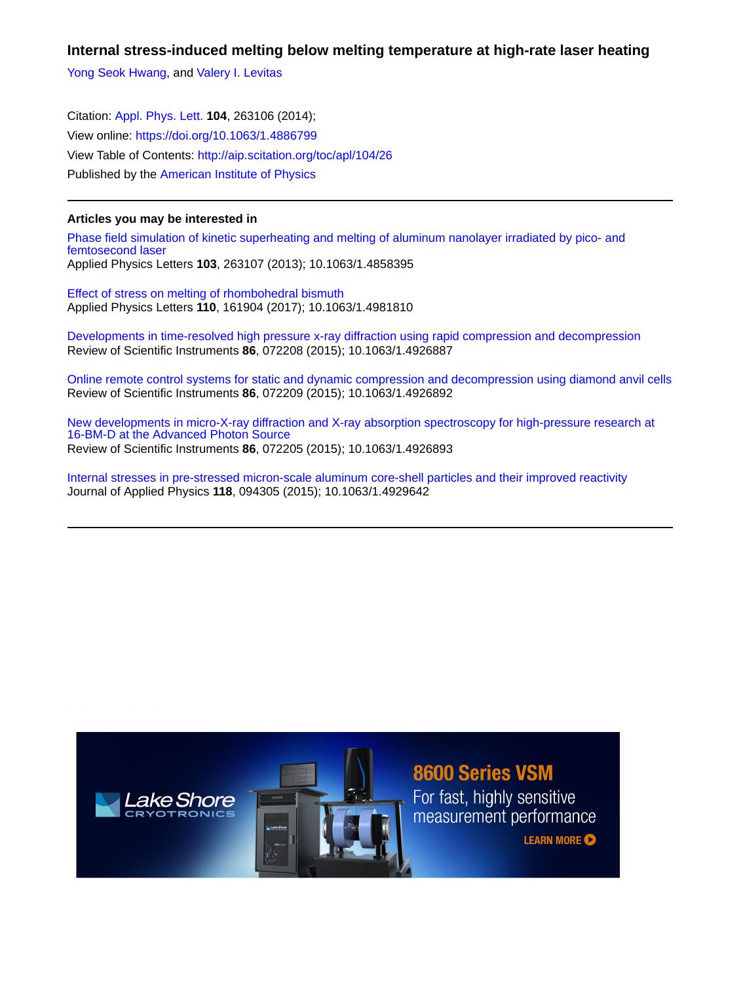**Internal stress-induced melting below melting temperature at high-rate laser heating**

[Yong Seok Hwang](http://aip.scitation.org/author/Hwang%2C+Yong+Seok), and [Valery I. Levitas](http://aip.scitation.org/author/Levitas%2C+Valery+I)

Citation: [Appl. Phys. Lett.](/loi/apl) **104**, 263106 (2014); View online: <https://doi.org/10.1063/1.4886799> View Table of Contents: <http://aip.scitation.org/toc/apl/104/26> Published by the [American Institute of Physics](http://aip.scitation.org/publisher/)

## **Articles you may be interested in**

[Phase field simulation of kinetic superheating and melting of aluminum nanolayer irradiated by pico- and](http://aip.scitation.org/doi/abs/10.1063/1.4858395) [femtosecond laser](http://aip.scitation.org/doi/abs/10.1063/1.4858395) Applied Physics Letters **103**, 263107 (2013); 10.1063/1.4858395

[Effect of stress on melting of rhombohedral bismuth](http://aip.scitation.org/doi/abs/10.1063/1.4981810) Applied Physics Letters **110**, 161904 (2017); 10.1063/1.4981810

[Developments in time-resolved high pressure x-ray diffraction using rapid compression and decompression](http://aip.scitation.org/doi/abs/10.1063/1.4926887) Review of Scientific Instruments **86**, 072208 (2015); 10.1063/1.4926887

[Online remote control systems for static and dynamic compression and decompression using diamond anvil cells](http://aip.scitation.org/doi/abs/10.1063/1.4926892) Review of Scientific Instruments **86**, 072209 (2015); 10.1063/1.4926892

[New developments in micro-X-ray diffraction and X-ray absorption spectroscopy for high-pressure research at](http://aip.scitation.org/doi/abs/10.1063/1.4926893) [16-BM-D at the Advanced Photon Source](http://aip.scitation.org/doi/abs/10.1063/1.4926893) Review of Scientific Instruments **86**, 072205 (2015); 10.1063/1.4926893

[Internal stresses in pre-stressed micron-scale aluminum core-shell particles and their improved reactivity](http://aip.scitation.org/doi/abs/10.1063/1.4929642) Journal of Applied Physics **118**, 094305 (2015); 10.1063/1.4929642

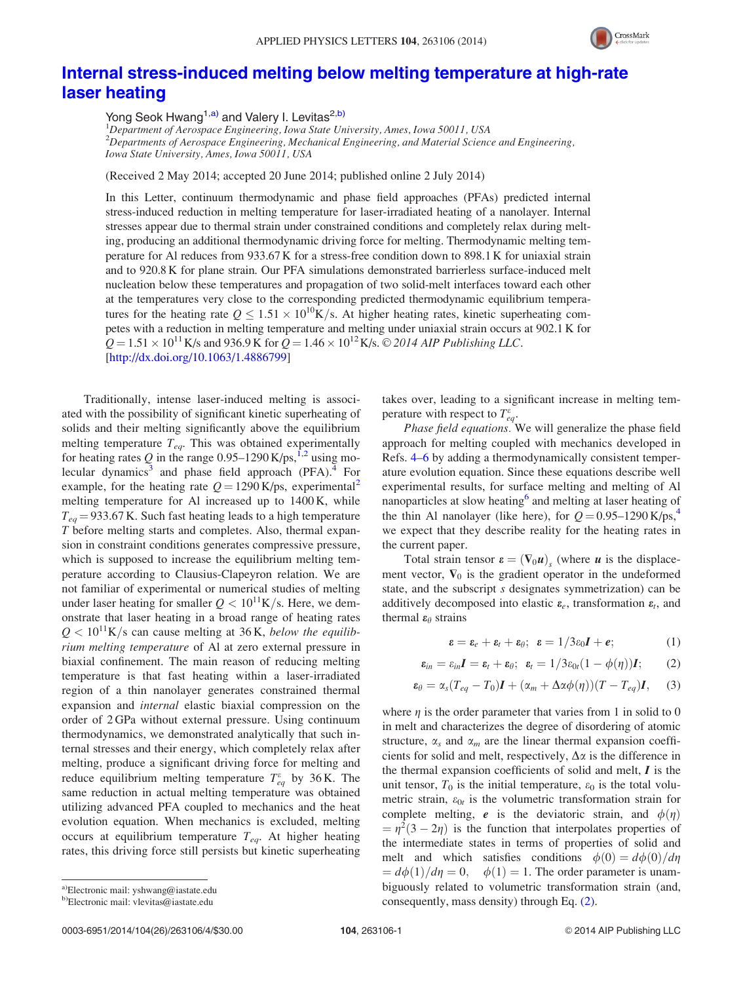

## [Internal stress-induced melting below melting temperature at high-rate](http://dx.doi.org/10.1063/1.4886799) [laser heating](http://dx.doi.org/10.1063/1.4886799)

Yong Seok Hwang<sup>1,a)</sup> and Valery I. Levitas<sup>2,b)</sup>

<sup>1</sup>Department of Aerospace Engineering, Iowa State University, Ames, Iowa 50011, USA  $^{2}$ Departments of Aerospace Engineering, Mechanical Engineering, and Material Science and Engineering, Iowa State University, Ames, Iowa 50011, USA

(Received 2 May 2014; accepted 20 June 2014; published online 2 July 2014)

In this Letter, continuum thermodynamic and phase field approaches (PFAs) predicted internal stress-induced reduction in melting temperature for laser-irradiated heating of a nanolayer. Internal stresses appear due to thermal strain under constrained conditions and completely relax during melting, producing an additional thermodynamic driving force for melting. Thermodynamic melting temperature for Al reduces from 933.67 K for a stress-free condition down to 898.1 K for uniaxial strain and to 920.8 K for plane strain. Our PFA simulations demonstrated barrierless surface-induced melt nucleation below these temperatures and propagation of two solid-melt interfaces toward each other at the temperatures very close to the corresponding predicted thermodynamic equilibrium temperatures for the heating rate  $Q \le 1.51 \times 10^{10}$ K/s. At higher heating rates, kinetic superheating competes with a reduction in melting temperature and melting under uniaxial strain occurs at 902.1 K for  $Q = 1.51 \times 10^{11}$  K/s and 936.9 K for  $Q = 1.46 \times 10^{12}$  K/s. © 2014 AIP Publishing LLC. [\[http://dx.doi.org/10.1063/1.4886799](http://dx.doi.org/10.1063/1.4886799)]

Traditionally, intense laser-induced melting is associated with the possibility of significant kinetic superheating of solids and their melting significantly above the equilibrium melting temperature  $T_{eq}$ . This was obtained experimentally for heating rates Q in the range  $0.95-1290$  K/ps,<sup>[1,2](#page-4-0)</sup> using mo-lecular dynamics<sup>[3](#page-4-0)</sup> and phase field approach (PFA).<sup>[4](#page-4-0)</sup> For example, for the heating rate  $Q = 1290 \text{ K/ps}$  $Q = 1290 \text{ K/ps}$  $Q = 1290 \text{ K/ps}$ , experimental<sup>2</sup> melting temperature for Al increased up to 1400 K, while  $T_{eq}$  = 933.67 K. Such fast heating leads to a high temperature T before melting starts and completes. Also, thermal expansion in constraint conditions generates compressive pressure, which is supposed to increase the equilibrium melting temperature according to Clausius-Clapeyron relation. We are not familiar of experimental or numerical studies of melting under laser heating for smaller  $Q < 10^{11}$ K/s. Here, we demonstrate that laser heating in a broad range of heating rates  $Q < 10^{11}$ K/s can cause melting at 36 K, below the equilibrium melting temperature of Al at zero external pressure in biaxial confinement. The main reason of reducing melting temperature is that fast heating within a laser-irradiated region of a thin nanolayer generates constrained thermal expansion and internal elastic biaxial compression on the order of 2 GPa without external pressure. Using continuum thermodynamics, we demonstrated analytically that such internal stresses and their energy, which completely relax after melting, produce a significant driving force for melting and reduce equilibrium melting temperature  $T_{eq}^{\varepsilon}$  by 36 K. The same reduction in actual melting temperature was obtained utilizing advanced PFA coupled to mechanics and the heat evolution equation. When mechanics is excluded, melting occurs at equilibrium temperature  $T_{eq}$ . At higher heating rates, this driving force still persists but kinetic superheating

a)Electronic mail: [yshwang@iastate.edu](mailto:yshwang@iastate.edu)

b)Electronic mail: [vlevitas@iastate.edu](mailto:vlevitas@iastate.edu)

takes over, leading to a significant increase in melting temperature with respect to  $T_{eq}^{\varepsilon}$ .

Phase field equations. We will generalize the phase field approach for melting coupled with mechanics developed in Refs. [4–6](#page-4-0) by adding a thermodynamically consistent temperature evolution equation. Since these equations describe well experimental results, for surface melting and melting of Al nanoparticles at slow heating<sup>[6](#page-4-0)</sup> and melting at laser heating of the thin Al nanolayer (like here), for  $Q = 0.95 - 1290$  K/ps,<sup>[4](#page-4-0)</sup> we expect that they describe reality for the heating rates in the current paper.

Total strain tensor  $\boldsymbol{\epsilon} = (\nabla_0 \boldsymbol{u})$ , (where  $\boldsymbol{u}$  is the displacement vector,  $\nabla_0$  is the gradient operator in the undeformed state, and the subscript s designates symmetrization) can be additively decomposed into elastic  $\varepsilon_e$ , transformation  $\varepsilon_t$ , and thermal  $\varepsilon_{\theta}$  strains

$$
\varepsilon = \varepsilon_e + \varepsilon_t + \varepsilon_\theta; \quad \varepsilon = 1/3\varepsilon_0 I + \varepsilon; \tag{1}
$$

$$
\boldsymbol{\varepsilon}_{in}=\varepsilon_{in}\boldsymbol{I}=\boldsymbol{\varepsilon}_t+\boldsymbol{\varepsilon}_\theta;\ \ \boldsymbol{\varepsilon}_t=1/3\varepsilon_{0t}(1-\phi(\eta))\boldsymbol{I};\qquad(2)
$$

$$
\varepsilon_{\theta} = \alpha_s (T_{eq} - T_0) \mathbf{I} + (\alpha_m + \Delta \alpha \phi(\eta)) (T - T_{eq}) \mathbf{I}, \quad (3)
$$

where  $\eta$  is the order parameter that varies from 1 in solid to 0 in melt and characterizes the degree of disordering of atomic structure,  $\alpha_s$  and  $\alpha_m$  are the linear thermal expansion coefficients for solid and melt, respectively,  $\Delta \alpha$  is the difference in the thermal expansion coefficients of solid and melt,  $I$  is the unit tensor,  $T_0$  is the initial temperature,  $\varepsilon_0$  is the total volumetric strain,  $\varepsilon_{0t}$  is the volumetric transformation strain for complete melting, e is the deviatoric strain, and  $\phi(\eta)$  $=\eta^2(3-2\eta)$  is the function that interpolates properties of the intermediate states in terms of properties of solid and melt and which satisfies conditions  $\phi(0) = d\phi(0)/d\eta$  $d\phi(1)/d\eta=0$ ,  $\phi(1)=1$ . The order parameter is unambiguously related to volumetric transformation strain (and, consequently, mass density) through Eq. (2).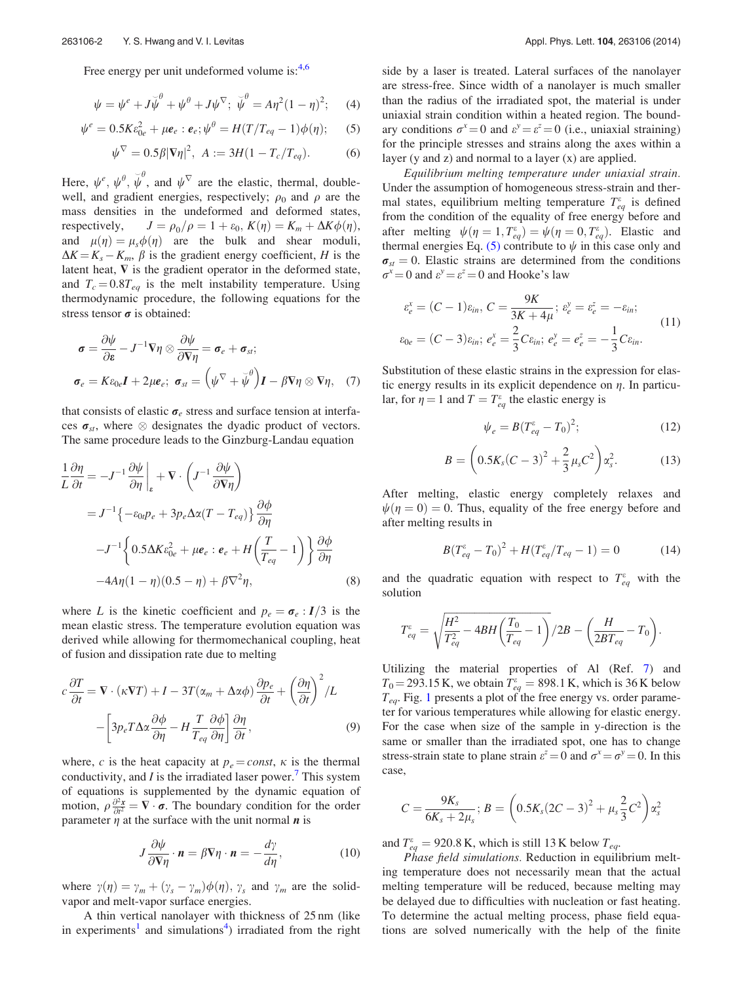<span id="page-2-0"></span>Free energy per unit undeformed volume is:<sup>[4,6](#page-4-0)</sup>

$$
\psi = \psi^e + J\breve{\psi}^\theta + \psi^\theta + J\psi^\nabla; \ \breve{\psi}^\theta = A\eta^2(1-\eta)^2; \quad (4)
$$

$$
\psi^e = 0.5K\varepsilon_{0e}^2 + \mu \mathbf{e}_e : \mathbf{e}_e; \psi^{\theta} = H(T/T_{eq} - 1)\phi(\eta); \quad (5)
$$

$$
\psi^{\nabla} = 0.5\beta |\nabla \eta|^2, \ A := 3H(1 - T_c/T_{eq}). \tag{6}
$$

Here,  $\psi^e$ ,  $\psi^{\theta}$ ,  $\overline{\psi}^{\theta}$ , and  $\psi^{\nabla}$  are the elastic, thermal, doublewell, and gradient energies, respectively;  $\rho_0$  and  $\rho$  are the mass densities in the undeformed and deformed states, respectively,  $J = \rho_0/\rho = 1 + \varepsilon_0$ ,  $K(\eta) = K_m + \Delta K \phi(\eta)$ , and  $\mu(\eta) = \mu_s \phi(\eta)$  are the bulk and shear moduli,  $\Delta K = K_s - K_m$ ,  $\beta$  is the gradient energy coefficient, H is the latent heat,  $\nabla$  is the gradient operator in the deformed state, and  $T_c = 0.8T_{eq}$  is the melt instability temperature. Using thermodynamic procedure, the following equations for the stress tensor  $\sigma$  is obtained:

$$
\sigma = \frac{\partial \psi}{\partial \varepsilon} - J^{-1} \nabla \eta \otimes \frac{\partial \psi}{\partial \nabla \eta} = \sigma_e + \sigma_{st};
$$
  

$$
\sigma_e = K \varepsilon_{0e} I + 2\mu \varepsilon_{e}; \ \sigma_{st} = (\psi^{\nabla} + \breve{\psi}^{\theta}) I - \beta \nabla \eta \otimes \nabla \eta, \quad (7)
$$

that consists of elastic  $\sigma_e$  stress and surface tension at interfaces  $\sigma_{st}$ , where  $\otimes$  designates the dyadic product of vectors. The same procedure leads to the Ginzburg-Landau equation

$$
\frac{1}{L}\frac{\partial \eta}{\partial t} = -J^{-1}\frac{\partial \psi}{\partial \eta}\Big|_{\varepsilon} + \nabla \cdot \left(J^{-1}\frac{\partial \psi}{\partial \nabla \eta}\right)
$$
  
\n
$$
= J^{-1}\left\{-\varepsilon_{0i}\rho_{e} + 3\rho_{e}\Delta\alpha(T - T_{eq})\right\}\frac{\partial \phi}{\partial \eta}
$$
  
\n
$$
-J^{-1}\left\{0.5\Delta K\varepsilon_{0e}^{2} + \mu\mathbf{e}_{e} : \mathbf{e}_{e} + H\left(\frac{T}{T_{eq}} - 1\right)\right\}\frac{\partial \phi}{\partial \eta}
$$
  
\n
$$
-4A\eta(1 - \eta)(0.5 - \eta) + \beta\nabla^{2}\eta,
$$
 (8)

where L is the kinetic coefficient and  $p_e = \sigma_e : I/3$  is the mean elastic stress. The temperature evolution equation was derived while allowing for thermomechanical coupling, heat of fusion and dissipation rate due to melting

$$
c\frac{\partial T}{\partial t} = \nabla \cdot (\kappa \nabla T) + I - 3T(\alpha_m + \Delta \alpha \phi) \frac{\partial p_e}{\partial t} + \left(\frac{\partial \eta}{\partial t}\right)^2 / L
$$

$$
- \left[3p_e T \Delta \alpha \frac{\partial \phi}{\partial \eta} - H \frac{T}{T_{eq}} \frac{\partial \phi}{\partial \eta}\right] \frac{\partial \eta}{\partial t},\tag{9}
$$

where, c is the heat capacity at  $p_e = const$ ,  $\kappa$  is the thermal conductivity, and  $I$  is the irradiated laser power.<sup>[7](#page-4-0)</sup> This system of equations is supplemented by the dynamic equation of motion,  $\rho \frac{\partial^2 x}{\partial t^2} = \nabla \cdot \vec{\sigma}$ . The boundary condition for the order parameter  $\eta$  at the surface with the unit normal  $\boldsymbol{n}$  is

$$
J\frac{\partial\psi}{\partial\nabla\eta}\cdot\boldsymbol{n}=\beta\nabla\eta\cdot\boldsymbol{n}=-\frac{d\gamma}{d\eta},\qquad(10)
$$

where  $\gamma(\eta) = \gamma_m + (\gamma_s - \gamma_m)\phi(\eta)$ ,  $\gamma_s$  and  $\gamma_m$  are the solidvapor and melt-vapor surface energies.

A thin vertical nanolayer with thickness of 25 nm (like in experiments<sup>[1](#page-4-0)</sup> and simulations<sup>[4](#page-4-0)</sup>) irradiated from the right

side by a laser is treated. Lateral surfaces of the nanolayer are stress-free. Since width of a nanolayer is much smaller than the radius of the irradiated spot, the material is under uniaxial strain condition within a heated region. The boundary conditions  $\sigma^x = 0$  and  $\varepsilon^y = \varepsilon^z = 0$  (i.e., uniaxial straining) for the principle stresses and strains along the axes within a layer (y and z) and normal to a layer  $(x)$  are applied.

Equilibrium melting temperature under uniaxial strain. Under the assumption of homogeneous stress-strain and thermal states, equilibrium melting temperature  $T_{eq}^{\varepsilon}$  is defined from the condition of the equality of free energy before and after melting  $\psi(\eta = 1, T_{eq}^{\varepsilon}) = \psi(\eta = 0, T_{eq}^{\varepsilon})$ . Elastic and thermal energies Eq. (5) contribute to  $\psi$  in this case only and  $\sigma_{st} = 0$ . Elastic strains are determined from the conditions  $\sigma^x = 0$  and  $\varepsilon^y = \varepsilon^z = 0$  and Hooke's law

$$
\varepsilon_e^x = (C - 1)\varepsilon_{in}, \ C = \frac{9K}{3K + 4\mu}; \ \varepsilon_e^y = \varepsilon_e^z = -\varepsilon_{in};
$$
  

$$
\varepsilon_{0e} = (C - 3)\varepsilon_{in}; \ e_e^x = \frac{2}{3}C\varepsilon_{in}; \ e_e^y = e_e^z = -\frac{1}{3}C\varepsilon_{in}.
$$
 (11)

Substitution of these elastic strains in the expression for elastic energy results in its explicit dependence on  $\eta$ . In particular, for  $\eta = 1$  and  $T = T_{eq}^{\varepsilon}$  the elastic energy is

$$
\psi_e = B(T_{eq}^{\varepsilon} - T_0)^2; \tag{12}
$$

$$
B = \left(0.5K_s(C-3)^2 + \frac{2}{3}\mu_s C^2\right)\alpha_s^2.
$$
 (13)

After melting, elastic energy completely relaxes and  $\psi(\eta = 0) = 0$ . Thus, equality of the free energy before and after melting results in

$$
B(T_{eq}^{\varepsilon} - T_0)^2 + H(T_{eq}^{\varepsilon}/T_{eq} - 1) = 0 \tag{14}
$$

and the quadratic equation with respect to  $T_{eq}^{\varepsilon}$  with the solution

$$
T_{eq}^{e} = \sqrt{\frac{H^{2}}{T_{eq}^{2}} - 4BH\left(\frac{T_{0}}{T_{eq}} - 1\right)}/2B - \left(\frac{H}{2BT_{eq}} - T_{0}\right).
$$

Utilizing the material properties of Al (Ref. [7](#page-4-0)) and  $T_0 = 293.15$  K, we obtain  $T_{eq}^{\varepsilon} = 898.1$  K, which is 36 K below  $T_{eq}$ . Fig. [1](#page-3-0) presents a plot of the free energy vs. order parameter for various temperatures while allowing for elastic energy. For the case when size of the sample in y-direction is the same or smaller than the irradiated spot, one has to change stress-strain state to plane strain  $\varepsilon^z = 0$  and  $\sigma^x = \sigma^y = 0$ . In this case,

$$
C = \frac{9K_s}{6K_s + 2\mu_s}; B = \left(0.5K_s(2C - 3)^2 + \mu_s \frac{2}{3}C^2\right)\alpha_s^2
$$

and  $T_{eq}^{\varepsilon} = 920.8 \text{ K}$ , which is still 13 K below  $T_{eq}$ .

Phase field simulations. Reduction in equilibrium melting temperature does not necessarily mean that the actual melting temperature will be reduced, because melting may be delayed due to difficulties with nucleation or fast heating. To determine the actual melting process, phase field equations are solved numerically with the help of the finite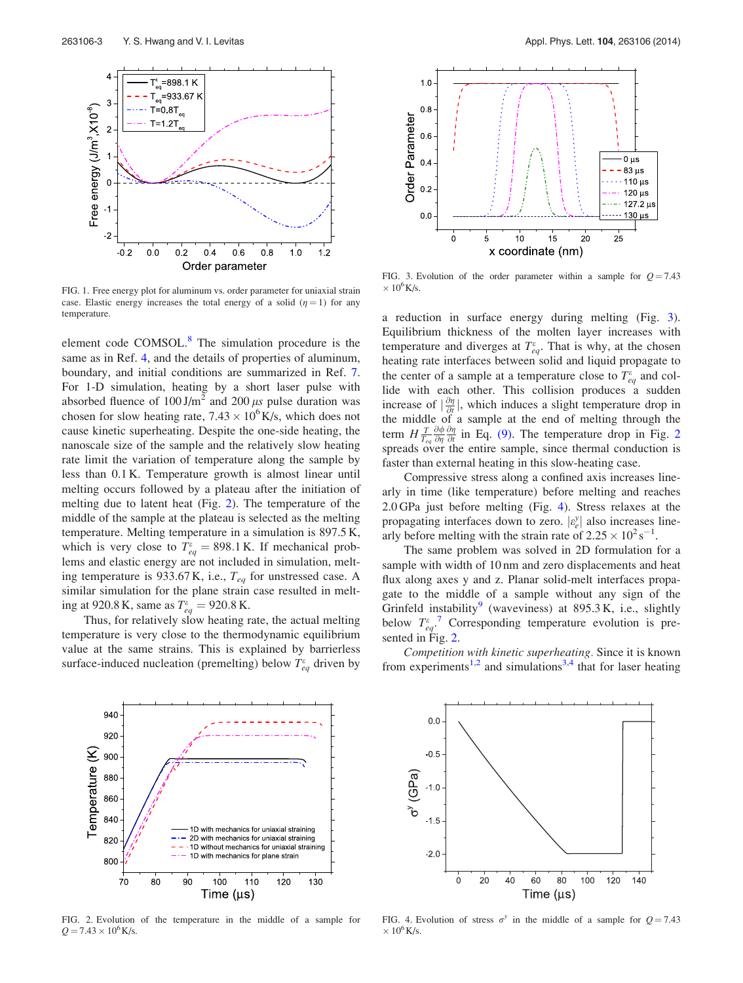<span id="page-3-0"></span>

FIG. 1. Free energy plot for aluminum vs. order parameter for uniaxial strain case. Elastic energy increases the total energy of a solid  $(\eta = 1)$  for any temperature.

element code COMSOL.<sup>[8](#page-4-0)</sup> The simulation procedure is the same as in Ref. [4](#page-4-0), and the details of properties of aluminum, boundary, and initial conditions are summarized in Ref. [7](#page-4-0). For 1-D simulation, heating by a short laser pulse with absorbed fluence of  $100 \text{ J/m}^2$  and  $200 \mu s$  pulse duration was chosen for slow heating rate,  $7.43 \times 10^6$  K/s, which does not cause kinetic superheating. Despite the one-side heating, the nanoscale size of the sample and the relatively slow heating rate limit the variation of temperature along the sample by less than 0.1 K. Temperature growth is almost linear until melting occurs followed by a plateau after the initiation of melting due to latent heat (Fig. 2). The temperature of the middle of the sample at the plateau is selected as the melting temperature. Melting temperature in a simulation is 897.5 K, which is very close to  $T_{eq}^{\varepsilon} = 898.1 \text{ K}$ . If mechanical problems and elastic energy are not included in simulation, melting temperature is 933.67 K, i.e.,  $T_{eq}$  for unstressed case. A similar simulation for the plane strain case resulted in melting at 920.8 K, same as  $T_{eq}^{\epsilon} = 920.8 \text{ K}$ .

Thus, for relatively slow heating rate, the actual melting temperature is very close to the thermodynamic equilibrium value at the same strains. This is explained by barrierless surface-induced nucleation (premelting) below  $T_{eq}^{\varepsilon}$  driven by



FIG. 3. Evolution of the order parameter within a sample for  $Q = 7.43$  $\times$  10<sup>6</sup>K/s.

a reduction in surface energy during melting (Fig. 3). Equilibrium thickness of the molten layer increases with temperature and diverges at  $T_{eq}^{\varepsilon}$ . That is why, at the chosen heating rate interfaces between solid and liquid propagate to the center of a sample at a temperature close to  $T_{eq}^{\varepsilon}$  and collide with each other. This collision produces a sudden increase of  $\left|\frac{\partial \eta}{\partial t}\right|$ , which induces a slight temperature drop in the middle of a sample at the end of melting through the term  $H \frac{T}{T_{eq}}$  $\frac{\partial \phi}{\partial \eta} \frac{\partial \eta}{\partial t}$  in Eq. [\(9\).](#page-2-0) The temperature drop in Fig. 2 spreads over the entire sample, since thermal conduction is faster than external heating in this slow-heating case.

Compressive stress along a confined axis increases linearly in time (like temperature) before melting and reaches 2.0 GPa just before melting (Fig. 4). Stress relaxes at the propagating interfaces down to zero.  $\left| \varepsilon_e^y \right|$  also increases linearly before melting with the strain rate of  $2.25 \times 10^2$  s<sup>-1</sup>.

The same problem was solved in 2D formulation for a sample with width of 10 nm and zero displacements and heat flux along axes y and z. Planar solid-melt interfaces propagate to the middle of a sample without any sign of the Grinfeld instability<sup>[9](#page-4-0)</sup> (waveviness) at 895.3 K, i.e., slightly below  $T_{eq}^{\epsilon}$ . Corresponding temperature evolution is presented in Fig. 2.

Competition with kinetic superheating. Since it is known from experiments<sup>[1,2](#page-4-0)</sup> and simulations<sup>[3,4](#page-4-0)</sup> that for laser heating



FIG. 2. Evolution of the temperature in the middle of a sample for  $Q = 7.43 \times 10^6$  K/s.



FIG. 4. Evolution of stress  $\sigma^y$  in the middle of a sample for  $Q = 7.43$  $\times$   $10^6\,\mbox{K/s}.$